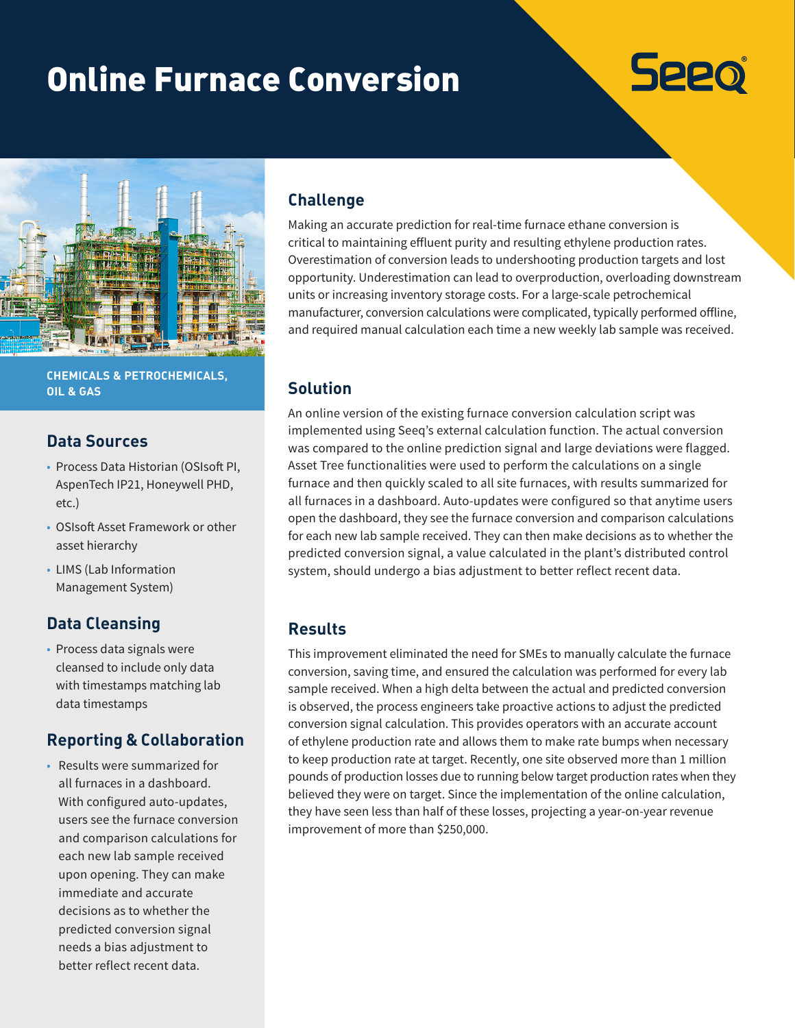# Online Furnace Conversion





**CHEMICALS & PETROCHEMICALS, OIL & GAS**

## **Data Sources**

- Process Data Historian (OSIsoft PI, AspenTech IP21, Honeywell PHD, etc.)
- OSIsoft Asset Framework or other asset hierarchy
- LIMS (Lab Information Management System)

# **Data Cleansing**

• Process data signals were cleansed to include only data with timestamps matching lab data timestamps

#### **Reporting & Collaboration**

• Results were summarized for all furnaces in a dashboard. With configured auto-updates, users see the furnace conversion and comparison calculations for each new lab sample received upon opening. They can make immediate and accurate decisions as to whether the predicted conversion signal needs a bias adjustment to better reflect recent data.

#### **Challenge**

Making an accurate prediction for real-time furnace ethane conversion is critical to maintaining effluent purity and resulting ethylene production rates. Overestimation of conversion leads to undershooting production targets and lost opportunity. Underestimation can lead to overproduction, overloading downstream units or increasing inventory storage costs. For a large-scale petrochemical manufacturer, conversion calculations were complicated, typically performed offline, and required manual calculation each time a new weekly lab sample was received.

## **Solution**

An online version of the existing furnace conversion calculation script was implemented using Seeq's external calculation function. The actual conversion was compared to the online prediction signal and large deviations were flagged. Asset Tree functionalities were used to perform the calculations on a single furnace and then quickly scaled to all site furnaces, with results summarized for all furnaces in a dashboard. Auto-updates were configured so that anytime users open the dashboard, they see the furnace conversion and comparison calculations for each new lab sample received. They can then make decisions as to whether the predicted conversion signal, a value calculated in the plant's distributed control system, should undergo a bias adjustment to better reflect recent data.

## **Results**

This improvement eliminated the need for SMEs to manually calculate the furnace conversion, saving time, and ensured the calculation was performed for every lab sample received. When a high delta between the actual and predicted conversion is observed, the process engineers take proactive actions to adjust the predicted conversion signal calculation. This provides operators with an accurate account of ethylene production rate and allows them to make rate bumps when necessary to keep production rate at target. Recently, one site observed more than 1 million pounds of production losses due to running below target production rates when they believed they were on target. Since the implementation of the online calculation, they have seen less than half of these losses, projecting a year-on-year revenue improvement of more than \$250,000.